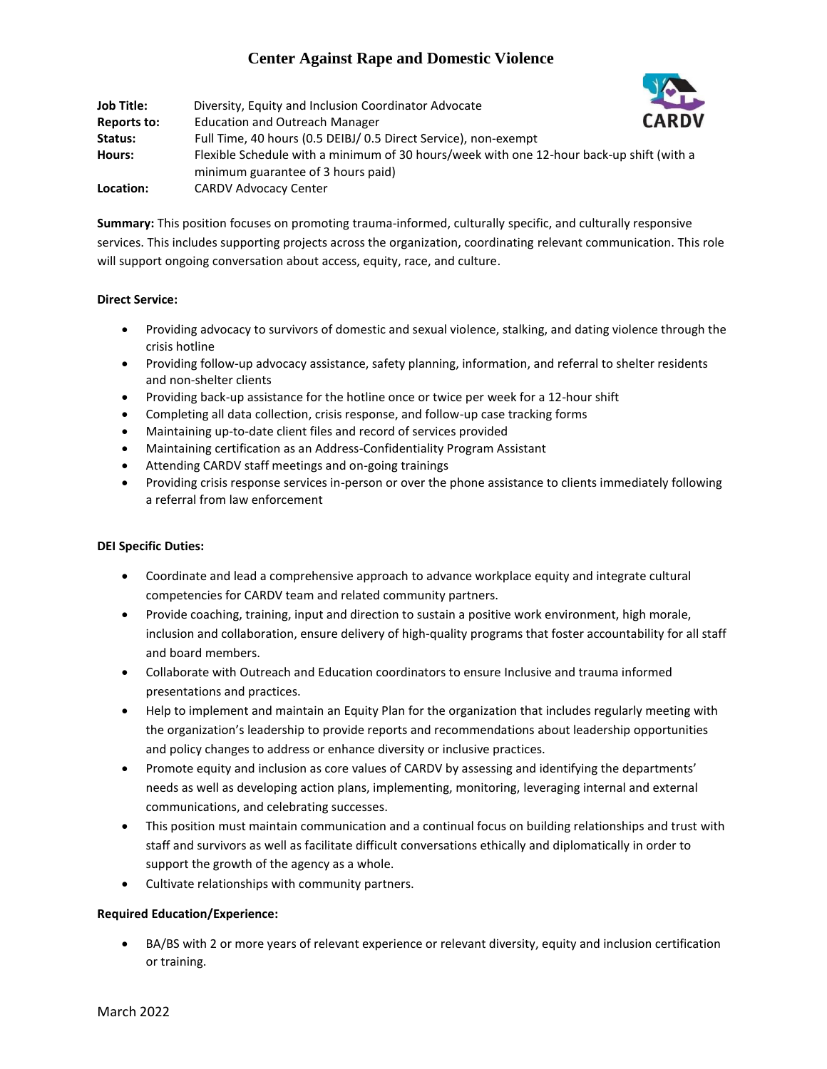# **Center Against Rape and Domestic Violence**

| Job Title:         | Diversity, Equity and Inclusion Coordinator Advocate                                                                           | <b>SECTION</b> |
|--------------------|--------------------------------------------------------------------------------------------------------------------------------|----------------|
| <b>Reports to:</b> | <b>Education and Outreach Manager</b>                                                                                          | <b>CARDV</b>   |
| Status:            | Full Time, 40 hours (0.5 DEIBJ/ 0.5 Direct Service), non-exempt                                                                |                |
| Hours:             | Flexible Schedule with a minimum of 30 hours/week with one 12-hour back-up shift (with a<br>minimum guarantee of 3 hours paid) |                |
| Location:          | <b>CARDV Advocacy Center</b>                                                                                                   |                |

**Summary:** This position focuses on promoting trauma-informed, culturally specific, and culturally responsive services. This includes supporting projects across the organization, coordinating relevant communication. This role will support ongoing conversation about access, equity, race, and culture.

## **Direct Service:**

- Providing advocacy to survivors of domestic and sexual violence, stalking, and dating violence through the crisis hotline
- Providing follow-up advocacy assistance, safety planning, information, and referral to shelter residents and non-shelter clients
- Providing back-up assistance for the hotline once or twice per week for a 12-hour shift
- Completing all data collection, crisis response, and follow-up case tracking forms
- Maintaining up-to-date client files and record of services provided
- Maintaining certification as an Address-Confidentiality Program Assistant
- Attending CARDV staff meetings and on-going trainings
- Providing crisis response services in-person or over the phone assistance to clients immediately following a referral from law enforcement

## **DEI Specific Duties:**

- Coordinate and lead a comprehensive approach to advance workplace equity and integrate cultural competencies for CARDV team and related community partners.
- Provide coaching, training, input and direction to sustain a positive work environment, high morale, inclusion and collaboration, ensure delivery of high-quality programs that foster accountability for all staff and board members.
- Collaborate with Outreach and Education coordinators to ensure Inclusive and trauma informed presentations and practices.
- Help to implement and maintain an Equity Plan for the organization that includes regularly meeting with the organization's leadership to provide reports and recommendations about leadership opportunities and policy changes to address or enhance diversity or inclusive practices.
- Promote equity and inclusion as core values of CARDV by assessing and identifying the departments' needs as well as developing action plans, implementing, monitoring, leveraging internal and external communications, and celebrating successes.
- This position must maintain communication and a continual focus on building relationships and trust with staff and survivors as well as facilitate difficult conversations ethically and diplomatically in order to support the growth of the agency as a whole.
- Cultivate relationships with community partners.

## **Required Education/Experience:**

 BA/BS with 2 or more years of relevant experience or relevant diversity, equity and inclusion certification or training.